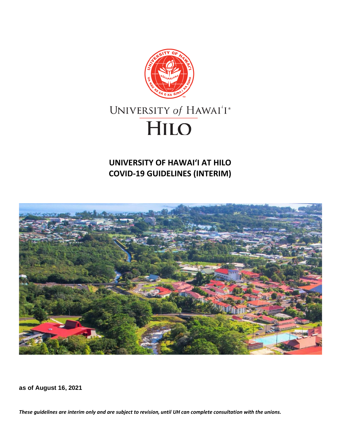

# **UNIVERSITY OF HAWAIʻI AT HILO COVID-19 GUIDELINES (INTERIM)**



**as of August 16, 2021**

*These guidelines are interim only and are subject to revision, until UH can complete consultation with the unions.*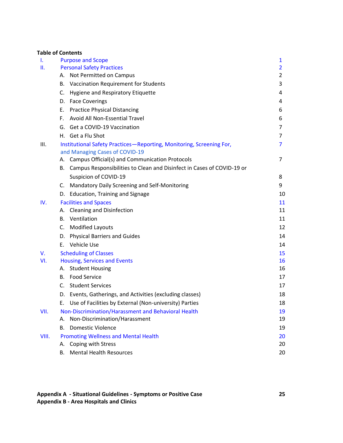#### **Table of Contents**

| Τ.    | <b>Purpose and Scope</b>                                                                               | $\mathbf{1}$   |
|-------|--------------------------------------------------------------------------------------------------------|----------------|
| Ш.    | <b>Personal Safety Practices</b>                                                                       | $\overline{2}$ |
|       | A. Not Permitted on Campus                                                                             | $\overline{2}$ |
|       | B. Vaccination Requirement for Students                                                                | 3              |
|       | C. Hygiene and Respiratory Etiquette                                                                   | 4              |
|       | D. Face Coverings                                                                                      | 4              |
|       | E. Practice Physical Distancing                                                                        | 6              |
|       | Avoid All Non-Essential Travel<br>F.                                                                   | 6              |
|       | G. Get a COVID-19 Vaccination                                                                          | 7              |
|       | H. Get a Flu Shot                                                                                      | 7              |
| III.  | Institutional Safety Practices-Reporting, Monitoring, Screening For,<br>and Managing Cases of COVID-19 | $\overline{7}$ |
|       | A. Campus Official(s) and Communication Protocols                                                      | 7              |
|       | Campus Responsibilities to Clean and Disinfect in Cases of COVID-19 or<br>В.                           |                |
|       | Suspicion of COVID-19                                                                                  | 8              |
|       | C. Mandatory Daily Screening and Self-Monitoring                                                       | 9              |
|       | D. Education, Training and Signage                                                                     | 10             |
| IV.   | <b>Facilities and Spaces</b>                                                                           | 11             |
|       | A. Cleaning and Disinfection                                                                           | 11             |
|       | <b>B.</b> Ventilation                                                                                  | 11             |
|       | C. Modified Layouts                                                                                    | 12             |
|       | D. Physical Barriers and Guides                                                                        | 14             |
|       | E. Vehicle Use                                                                                         | 14             |
| V.    | <b>Scheduling of Classes</b>                                                                           | 15             |
| VI.   | <b>Housing, Services and Events</b>                                                                    | 16             |
|       | A. Student Housing                                                                                     | 16             |
|       | <b>B.</b> Food Service                                                                                 | 17             |
|       | C. Student Services                                                                                    | 17             |
|       | D. Events, Gatherings, and Activities (excluding classes)                                              | 18             |
|       | Use of Facilities by External (Non-university) Parties<br>Е.                                           | 18             |
| VII.  | Non-Discrimination/Harassment and Behavioral Health<br>Non-Discrimination/Harassment<br>А.             | 19<br>19       |
|       |                                                                                                        |                |
|       | <b>Domestic Violence</b><br>В.                                                                         | 19             |
| VIII. | <b>Promoting Wellness and Mental Health</b><br>A. Coping with Stress                                   | 20<br>20       |
|       | <b>Mental Health Resources</b><br>В.                                                                   | 20             |
|       |                                                                                                        |                |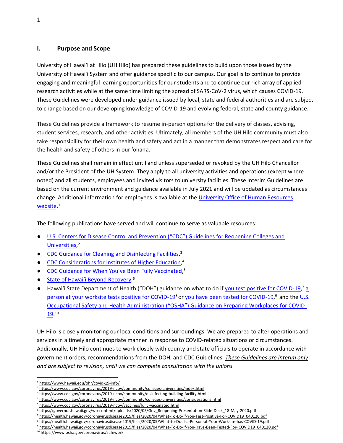## **I. Purpose and Scope**

University of Hawaiʻi at Hilo (UH Hilo) has prepared these guidelines to build upon those issued by the University of Hawai'i System and offer guidance specific to our campus. Our goal is to continue to provide engaging and meaningful learning opportunities for our students and to continue our rich array of applied research activities while at the same time limiting the spread of SARS-CoV-2 virus, which causes COVID-19. These Guidelines were developed under guidance issued by local, state and federal authorities and are subject to change based on our developing knowledge of COVID-19 and evolving federal, state and county guidance.

These Guidelines provide a framework to resume in-person options for the delivery of classes, advising, student services, research, and other activities. Ultimately, all members of the UH Hilo community must also take responsibility for their own health and safety and act in a manner that demonstrates respect and care for the health and safety of others in our 'ohana.

These Guidelines shall remain in effect until and unless superseded or revoked by the UH Hilo Chancellor and/or the President of the UH System. They apply to all university activities and operations (except where noted) and all students, employees and invited visitors to university facilities. These Interim Guidelines are based on the current environment and guidance available in July 2021 and will be updated as circumstances change. Additional information for employees is available at the [University Office of Human Resources](https://www.hawaii.edu/ohr/covid-19-info/)  [website.](https://www.hawaii.edu/ohr/covid-19-info/) [1](https://www.hawaii.edu/ohr/covid-19-info/)

The following publications have served and will continue to serve as valuable resources:

- [U.S.](https://www.cdc.gov/coronavirus/2019-ncov/community/colleges-universities/index.html) [Centers for Disease Control and Prevention \("CDC"\) Guidelines for Reopening Colleges and](https://www.cdc.gov/coronavirus/2019-ncov/community/colleges-universities/index.html)  [Universities,](https://www.cdc.gov/coronavirus/2019-ncov/community/colleges-universities/index.html)<sup>2</sup>
- CDC Guidance for Cleaning and Disinfecting Facilities.<sup>3</sup>
- CDC Considerations for [Institutes of Higher Education](https://www.cdc.gov/coronavirus/2019-ncov/community/colleges-universities/considerations.html)[,](https://www.whitehouse.gov/openingamerica/) 4
- [CDC Guidance for When You've Been Fully Vaccinated](https://www.cdc.gov/coronavirus/2019-ncov/vaccines/fully-vaccinated.html),<sup>5</sup>
- [State of Hawai'i Beyond](https://governor.hawaii.gov/wp-content/uploads/2020/05/Gov_Reopening-Presentation-Slide-Deck_18-May-2020.pdf) [Recovery,](https://governor.hawaii.gov/wp-content/uploads/2020/05/Gov_Reopening-Presentation-Slide-Deck_18-May-2020.pdf)<sup>6</sup>
- Hawai'i State Department of Health ("DOH") guidance on what to do if [you test positive for](https://health.hawaii.gov/coronavirusdisease2019/files/2020/04/What-To-Do-If-You-Test-Positive-For-COVID19_040120.pdf) [COVID-19,](https://health.hawaii.gov/coronavirusdisease2019/files/2020/04/What-To-Do-If-You-Test-Positive-For-COVID19_040120.pdf)<sup>7</sup> a [person at your worksite tests positive for COVID-19](https://health.hawaii.gov/coronavirusdisease2019/files/2020/05/What-to-Do-if-a-Person-at-Your-Worksite-has-COVID-19.pdf)<sup>8</sup> or [you have been tested for COVID-19,](https://health.hawaii.gov/coronavirusdisease2019/files/2020/04/What-To-Do-If-You-Have-Been-Tested-For-COVID19_040120.pdf)<sup>9</sup> and the U.S. Occupational Safety and Health Adm[inistration \("OSHA"\) Guidance on Preparing Workplaces](https://www.osha.gov/Publications/OSHA3990.pdf) [for COVID-](https://www.osha.gov/Publications/OSHA3990.pdf) $19.10$  $19.10$

UH Hilo is closely monitoring our local conditions and surroundings. We are prepared to alter operations and services in a timely and appropriate manner in response to COVID-related situations or circumstances. Additionally, UH Hilo continues to work closely with county and state officials to operate in accordance with government orders, recommendations from the DOH, and CDC Guidelines. *These Guidelines are interim only and are subject to revision, until we can complete consultation with the unions.*

<sup>1</sup> <https://www.hawaii.edu/ohr/covid-19-info/>

<sup>2</sup> <https://www.cdc.gov/coronavirus/2019-ncov/community/colleges-universities/index.html>

<sup>&</sup>lt;sup>3</sup> <https://www.cdc.gov/coronavirus/2019-ncov/community/disinfecting-building-facility.html>

<sup>4</sup> <https://www.cdc.gov/coronavirus/2019-ncov/community/colleges-universities/considerations.html>

<sup>5</sup> https://www.cdc.gov/coronavirus/2019-ncov/vaccines/fully-vaccinated.html

<sup>6</sup> [https://governor.hawaii.gov/wp-content/uploads/2020/05/Gov\\_Reopening-Presentation-Slide-Deck\\_18-May-2020.pdf](https://governor.hawaii.gov/wp-content/uploads/2020/05/Gov_Reopening-Presentation-Slide-Deck_18-May-2020.pdf)

<sup>7</sup> [https://health.hawaii.gov/coronavirusdisease2019/files/2020/04/What-To-Do-If-You-Test-Positive-For-COVID19\\_040120.pdf](https://health.hawaii.gov/coronavirusdisease2019/files/2020/04/What-To-Do-If-You-Test-Positive-For-COVID19_040120.pdf)

<sup>8</sup> <https://health.hawaii.gov/coronavirusdisease2019/files/2020/05/What-to-Do-if-a-Person-at-Your-Worksite-has-COVID-19.pdf>

<sup>9</sup> [https://health.hawaii.gov/coronavirusdisease2019/files/2020/04/What-To-Do-If-You-Have-Been-Tested-For-](https://health.hawaii.gov/coronavirusdisease2019/files/2020/04/What-To-Do-If-You-Have-Been-Tested-For-COVID19_040120.pdf) [COVID19\\_040120.pdf](https://health.hawaii.gov/coronavirusdisease2019/files/2020/04/What-To-Do-If-You-Have-Been-Tested-For-COVID19_040120.pdf)

<sup>10</sup> [https://www.osha.gov/coronavirus/safework](https://www.osha.gov/Publications/OSHA3990.pdf)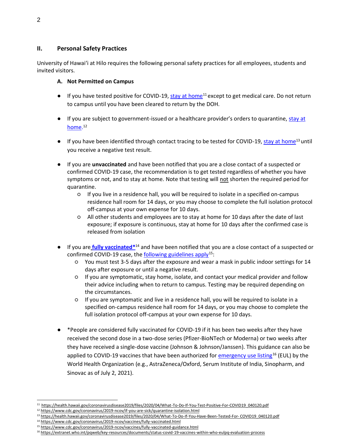## <span id="page-3-0"></span>**II. Personal Safety Practices**

<span id="page-3-1"></span>University of Hawaiʻi at Hilo requires the following personal safety practices for all employees, students and invited visitors.

## **A. Not Permitted on Campus**

- $\bullet$  If you have tested positive for COVID-19, [stay at home](https://health.hawaii.gov/coronavirusdisease2019/files/2020/04/What-To-Do-If-You-Test-Positive-For-COVID19_040120.pdf)<sup>11</sup> except to get medical care. Do not return to campus until you have been cleared to return by the DOH.
- If you are subject to government-issued or a healthcare provider's orders to quarantine, [stay](https://www.cdc.gov/coronavirus/2019-ncov/if-you-are-sick/quarantine-isolation.html) at [home.](https://www.cdc.gov/coronavirus/2019-ncov/if-you-are-sick/quarantine-isolation.html)<sup>12</sup>
- If you have been identified through contact tracing to be tested for COVID-19[, stay at home](https://health.hawaii.gov/coronavirusdisease2019/files/2020/04/What-To-Do-If-You-Have-Been-Tested-For-COVID19_040120.pdf)<sup>13</sup> until you receive a negative test result.
- If you are **unvaccinated** and have been notified that you are a close contact of a suspected or confirmed COVID-19 case, the recommendation is to get tested regardless of whether you have symptoms or not, and to stay at home. Note that testing will not shorten the required period for quarantine.
	- If you live in a residence hall, you will be required to isolate in a specified on-campus residence hall room for 14 days, or you may choose to complete the full isolation protocol off-campus at your own expense for 10 days.
	- All other students and employees are to stay at home for 10 days after the date of last exposure; if exposure is continuous, stay at home for 10 days after the confirmed case is released from isolation
- If you are **fully vaccinated**<sup>\*14</sup> and have been notified that you are a close contact of a suspected or confirmed COVID-19 case, the [following guidelines apply](https://www.cdc.gov/coronavirus/2019-ncov/vaccines/fully-vaccinated-guidance.html)<sup>15</sup>:
	- You must test 3-5 days after the exposure and wear a mask in public indoor settings for 14 days after exposure or until a negative result.
	- If you are symptomatic, stay home, isolate, and contact your medical provider and follow their advice including when to return to campus. Testing may be required depending on the circumstances.
	- If you are symptomatic and live in a residence hall, you will be required to isolate in a specified on-campus residence hall room for 14 days, or you may choose to complete the full isolation protocol off-campus at your own expense for 10 days.
- \*People are considered fully vaccinated for COVID-19 if it has been two weeks after they have received the second dose in a two-dose series (Pfizer-BioNTech or Moderna) or two weeks after they have received a single-dose vaccine (Johnson & Johnson/Janssen). This guidance can also be applied to COVID-19 vaccines that have been authorized fo[r emergency use listing](https://extranet.who.int/pqweb/key-resources/documents/status-covid-19-vaccines-within-who-eulpq-evaluation-process)<sup>16</sup> (EUL) by the World Health Organization (e.g., AstraZeneca/Oxford, Serum Institute of India, Sinopharm, and Sinovac as of July 2, 2021).

<sup>11</sup> [https://health.hawaii.gov/coronavirusdisease2019/files/2020/04/What-To-Do-If-You-Test-Positive-For-COVID19\\_040120.pdf](https://health.hawaii.gov/coronavirusdisease2019/files/2020/04/What-To-Do-If-You-Test-Positive-For-COVID19_040120.pdf)

<sup>12</sup> <https://www.cdc.gov/coronavirus/2019-ncov/if-you-are-sick/quarantine-isolation.html>

<sup>13</sup> [https://health.hawaii.gov/coronavirusdisease2019/files/2020/04/What-To-Do-If-You-Have-Been-Tested-For-](https://health.hawaii.gov/coronavirusdisease2019/files/2020/04/What-To-Do-If-You-Have-Been-Tested-For-COVID19_040120.pdf) [COVID19\\_040120.pdf](https://health.hawaii.gov/coronavirusdisease2019/files/2020/04/What-To-Do-If-You-Have-Been-Tested-For-COVID19_040120.pdf)

<sup>14</sup> <https://www.cdc.gov/coronavirus/2019-ncov/vaccines/fully-vaccinated.html>

<sup>15</sup> <https://www.cdc.gov/coronavirus/2019-ncov/vaccines/fully-vaccinated-guidance.html>

<sup>16</sup> <https://extranet.who.int/pqweb/key-resources/documents/status-covid-19-vaccines-within-who-eulpq-evaluation-process>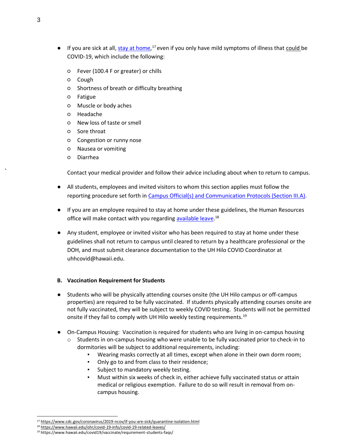- If you are sick at all[, stay at home,](https://www.cdc.gov/coronavirus/2019-ncov/if-you-are-sick/quarantine-isolation.html)<sup>17</sup> even if you only have mild symptoms of illness that could be COVID-19, which include the following:
	- Fever (100.4 F or greater) or chills
	- Cough
	- Shortness of breath or difficulty breathing
	- Fatigue
	- Muscle or body aches
	- Headache
	- New loss of taste or smell
	- Sore throat
	- Congestion or runny nose
	- Nausea or vomiting
	- Diarrhea

Contact your medical provider and follow their advice including about when to return to campus.

- All students, employees and invited visitors to whom this section applies must follow the reporting procedure set forth in Campus Official(s) and Communication Protocols (Section III.A).
- If you are an employee required to stay at home under these guidelines, the Human Resources office will make contact with you regarding [available leave.](https://www.hawaii.edu/ohr/covid-19-info/)<sup>18</sup>
- Any student, employee or invited visitor who has been required to stay at home under these guidelines shall not return to campus until cleared to return by a healthcare professional or the DOH, and must submit clearance documentation to the UH Hilo COVID Coordinator at uhhcovid@hawaii.edu.

#### <span id="page-4-0"></span>**B. Vaccination Requirement for Students**

- Students who will be physically attending courses onsite (the UH Hilo campus or off-campus properties) are required to be fully vaccinated. If students physically attending courses onsite are not fully vaccinated, they will be subject to weekly COVID testing. Students will not be permitted onsite if they fail to comply with UH Hilo weekly testing requirements.<sup>19</sup>
- On-Campus Housing: Vaccination is required for students who are living in on-campus housing Students in on-campus housing who were unable to be fully vaccinated prior to check-in to dormitories will be subject to additional requirements, including:
	- Wearing masks correctly at all times, except when alone in their own dorm room;
	- Only go to and from class to their residence;
	- Subject to mandatory weekly testing.
	- Must within six weeks of check in, either achieve fully vaccinated status or attain medical or religious exemption. Failure to do so will result in removal from oncampus housing.

<sup>17</sup> <https://www.cdc.gov/coronavirus/2019-ncov/if-you-are-sick/quarantine-isolation.html>

<sup>18</sup> <https://www.hawaii.edu/ohr/covid-19-info/covid-19-related-leaves/>

<sup>19</sup> https://www.hawaii.edu/covid19/vaccinate/requirement-students-faqs/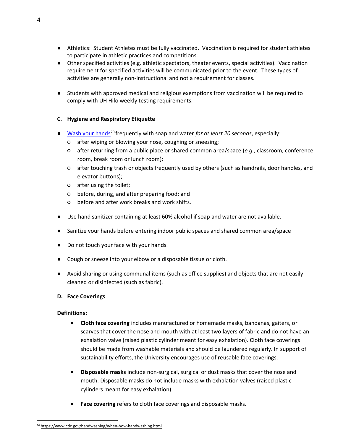- Athletics: Student Athletes must be fully vaccinated. Vaccination is required for student athletes to participate in athletic practices and competitions.
- Other specified activities (e.g. athletic spectators, theater events, special activities). Vaccination requirement for specified activities will be communicated prior to the event. These types of activities are generally non-instructional and not a requirement for classes.
- Students with approved medical and religious exemptions from vaccination will be required to comply with UH Hilo weekly testing requirements.

## **C. Hygiene and Respiratory Etiquette**

- [Wash your hands](https://www.cdc.gov/handwashing/when-how-handwashing.html)<sup>20</sup> frequently with soap and water *for at least 20 seconds*, especially:
	- after wiping or blowing your nose, coughing or sneezing;
	- after returning from a public place or shared common area/space (*e.g.*, classroom, conference room, break room or lunch room);
	- after touching trash or objects frequently used by others (such as handrails, door handles, and elevator buttons);
	- after using the toilet;
	- before, during, and after preparing food; and
	- before and after work breaks and work shifts.
- Use hand sanitizer containing at least 60% alcohol if soap and water are not available.
- Sanitize your hands before entering indoor public spaces and shared common area/space
- Do not touch your face with your hands.
- Cough or sneeze into your elbow or a disposable tissue or cloth.
- Avoid sharing or using communal items (such as office supplies) and objects that are not easily cleaned or disinfected (such as fabric).

#### <span id="page-5-0"></span>**D. Face Coverings**

#### **Definitions:**

- **Cloth face covering** includes manufactured or homemade masks, bandanas, gaiters, or scarves that cover the nose and mouth with at least two layers of fabric and do not have an exhalation valve (raised plastic cylinder meant for easy exhalation). Cloth face coverings should be made from washable materials and should be laundered regularly. In support of sustainability efforts, the University encourages use of reusable face coverings.
- **Disposable masks** include non-surgical, surgical or dust masks that cover the nose and mouth. Disposable masks do not include masks with exhalation valves (raised plastic cylinders meant for easy exhalation).
- **Face covering** refers to cloth face coverings and disposable masks.

<sup>20</sup> <https://www.cdc.gov/handwashing/when-how-handwashing.html>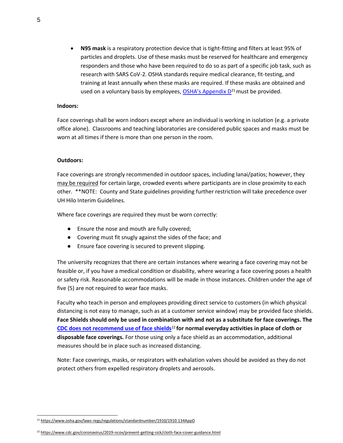• **N95 mask** is a respiratory protection device that is tight-fitting and filters at least 95% of particles and droplets. Use of these masks must be reserved for healthcare and emergency responders and those who have been required to do so as part of a specific job task, such as research with SARS CoV-2. OSHA standards require medical clearance, fit-testing, and training at least annually when these masks are required. If these masks are obtained and used on a voluntary basis by employees,  $OSHA's$  Appendix  $D<sup>21</sup>$  must be provided.

#### **Indoors:**

Face coverings shall be worn indoors except where an individual is working in isolation (e.g. a private office alone). Classrooms and teaching laboratories are considered public spaces and masks must be worn at all times if there is more than one person in the room.

#### **Outdoors:**

Face coverings are strongly recommended in outdoor spaces, including lanai/patios; however, they may be required for certain large, crowded events where participants are in close proximity to each other. \*\*NOTE: County and State guidelines providing further restriction will take precedence over UH Hilo Interim Guidelines.

Where face coverings are required they must be worn correctly:

- Ensure the nose and mouth are fully covered;
- Covering must fit snugly against the sides of the face; and
- Ensure face covering is secured to prevent slipping.

The university recognizes that there are certain instances where wearing a face covering may not be feasible or, if you have a medical condition or disability, where wearing a face covering poses a health or safety risk. Reasonable accommodations will be made in those instances. Children under the age of five (5) are not required to wear face masks.

Faculty who teach in person and employees providing direct service to customers (in which physical distancing is not easy to manage, such as at a customer service window) may be provided face shields. **Face Shields should only be used in combination with and not as a substitute for face coverings. The [CDC does not recommend use of face shields](https://www.cdc.gov/coronavirus/2019-ncov/prevent-getting-sick/cloth-face-cover-guidance.html)**<sup>22</sup> **for normal everyday activities in place of cloth or disposable face coverings.** For those using only a face shield as an accommodation, additional measures should be in place such as increased distancing.

Note: Face coverings, masks, or respirators with exhalation valves should be avoided as they do not protect others from expelled respiratory droplets and aerosols.

<sup>&</sup>lt;sup>21</sup> <https://www.osha.gov/laws-regs/regulations/standardnumber/1910/1910.134AppD>

<sup>22</sup> <https://www.cdc.gov/coronavirus/2019-ncov/prevent-getting-sick/cloth-face-cover-guidance.html>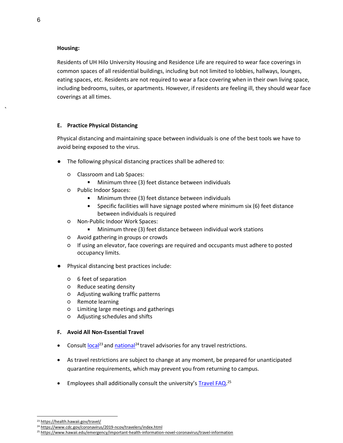#### **Housing:**

Residents of UH Hilo University Housing and Residence Life are required to wear face coverings in common spaces of all residential buildings, including but not limited to lobbies, hallways, lounges, eating spaces, etc. Residents are not required to wear a face covering when in their own living space, including bedrooms, suites, or apartments. However, if residents are feeling ill, they should wear face coverings at all times.

## <span id="page-7-0"></span>**E. Practice Physical Distancing**

Physical distancing and maintaining space between individuals is one of the best tools we have to avoid being exposed to the virus.

- The following physical distancing practices shall be adhered to:
	- Classroom and Lab Spaces:
		- **Minimum three (3) feet distance between individuals**
	- Public Indoor Spaces:
		- Minimum three (3) feet distance between individuals  $\mathbf{r}$
		- Specific facilities will have signage posted where minimum six (6) feet distance  $\mathbf{r}$ between individuals is required
	- Non-Public Indoor Work Spaces:
		- Minimum three (3) feet distance between individual work stations
	- Avoid gathering in groups or crowds
	- If using an elevator, face coverings are required and occupants must adhere to posted occupancy limits.
- Physical distancing best practices include:
	- 6 feet of separation
	- Reduce seating density
	- Adjusting walking traffic patterns
	- Remote learning
	- Limiting large meetings and gatherings
	- Adjusting schedules and shifts

#### <span id="page-7-1"></span>**F. Avoid All Non-Essential Travel**

- Consult  $\log_{12}^{23}$  and [national](https://www.cdc.gov/coronavirus/2019-ncov/travelers/index.html)<sup>24</sup> travel advisories for any travel restrictions.
- As travel restrictions are subject to change at any moment, be prepared for unanticipated quarantine requirements, which may prevent you from returning to campus.
- Employees shall additionally consult the university's [Travel FAQ.](https://www.hawaii.edu/emergency/important-health-information-novel-coronavirus/travel-information/)<sup>25</sup>

<sup>23</sup> <https://health.hawaii.gov/travel/>

<sup>&</sup>lt;sup>24</sup> <https://www.cdc.gov/coronavirus/2019-ncov/travelers/index.html>

<sup>&</sup>lt;sup>25</sup> [https://www.hawaii.edu/emergency/important-health-information-novel-coronavirus/travel-information](https://www.hawaii.edu/emergency/important-health-information-novel-coronavirus/travel-information/)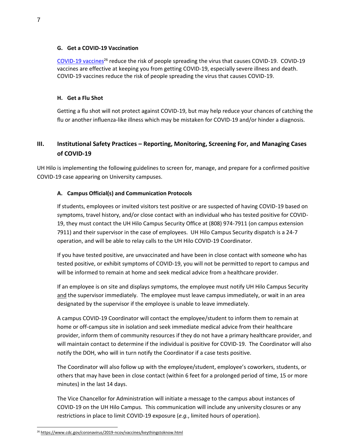#### <span id="page-8-0"></span>**G. Get a COVID-19 Vaccination**

[COVID-19 vaccines](https://www.cdc.gov/coronavirus/2019-ncov/vaccines/keythingstoknow.html)<sup>26</sup> reduce the risk of people spreading the virus that causes COVID-19. COVID-19 vaccines are effective at keeping you from getting COVID-19, especially severe illness and death. COVID-19 vaccines reduce the risk of people spreading the virus that causes COVID-19.

#### <span id="page-8-1"></span>**H. Get a Flu Shot**

Getting a flu shot will not protect against COVID-19, but may help reduce your chances of catching the flu or another influenza-like illness which may be mistaken for COVID-19 and/or hinder a diagnosis.

# <span id="page-8-2"></span>**III. Institutional Safety Practices – Reporting, Monitoring, Screening For, and Managing Cases of COVID-19**

<span id="page-8-3"></span>UH Hilo is implementing the following guidelines to screen for, manage, and prepare for a confirmed positive COVID-19 case appearing on University campuses.

#### **A. Campus Official(s) and Communication Protocols**

If students, employees or invited visitors test positive or are suspected of having COVID-19 based on symptoms, travel history, and/or close contact with an individual who has tested positive for COVID-19, they must contact the UH Hilo Campus Security Office at (808) 974-7911 (on campus extension 7911) and their supervisor in the case of employees. UH Hilo Campus Security dispatch is a 24-7 operation, and will be able to relay calls to the UH Hilo COVID-19 Coordinator.

If you have tested positive, are unvaccinated and have been in close contact with someone who has tested positive, or exhibit symptoms of COVID-19, you will not be permitted to report to campus and will be informed to remain at home and seek medical advice from a healthcare provider.

If an employee is on site and displays symptoms, the employee must notify UH Hilo Campus Security and the supervisor immediately. The employee must leave campus immediately, or wait in an area designated by the supervisor if the employee is unable to leave immediately.

A campus COVID-19 Coordinator will contact the employee/student to inform them to remain at home or off-campus site in isolation and seek immediate medical advice from their healthcare provider, inform them of community resources if they do not have a primary healthcare provider, and will maintain contact to determine if the individual is positive for COVID-19. The Coordinator will also notify the DOH, who will in turn notify the Coordinator if a case tests positive.

The Coordinator will also follow up with the employee/student, employee's coworkers, students, or others that may have been in close contact (within 6 feet for a prolonged period of time, 15 or more minutes) in the last 14 days.

The Vice Chancellor for Administration will initiate a message to the campus about instances of COVID-19 on the UH Hilo Campus. This communication will include any university closures or any restrictions in place to limit COVID-19 exposure (*e.g.*, limited hours of operation).

<sup>26</sup> <https://www.cdc.gov/coronavirus/2019-ncov/vaccines/keythingstoknow.html>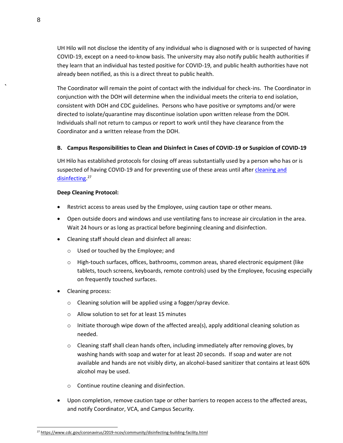UH Hilo will not disclose the identity of any individual who is diagnosed with or is suspected of having COVID-19, except on a need-to-know basis. The university may also notify public health authorities if they learn that an individual has tested positive for COVID-19, and public health authorities have not already been notified, as this is a direct threat to public health.

The Coordinator will remain the point of contact with the individual for check-ins. The Coordinator in conjunction with the DOH will determine when the individual meets the criteria to end isolation, consistent with DOH and CDC guidelines. Persons who have positive or symptoms and/or were directed to isolate/quarantine may discontinue isolation upon written release from the DOH. Individuals shall not return to campus or report to work until they have clearance from the Coordinator and a written release from the DOH.

## <span id="page-9-0"></span>**B. Campus Responsibilities to Clean and Disinfect in Cases of COVID-19 or Suspicion of COVID-19**

UH Hilo has established protocols for closing off areas substantially used by a person who has or is suspected of having COVID-19 and for preventing use of these areas until after cleaning and [disinfecting](https://www.cdc.gov/coronavirus/2019-ncov/community/disinfecting-building-facility.html)[.](https://www.cdc.gov/coronavirus/2019-ncov/community/clean-disinfect/index.html)<sup>27</sup>

## **Deep Cleaning Protocol:**

- Restrict access to areas used by the Employee, using caution tape or other means.
- Open outside doors and windows and use ventilating fans to increase air circulation in the area. Wait 24 hours or as long as practical before beginning cleaning and disinfection.
- Cleaning staff should clean and disinfect all areas:
	- o Used or touched by the Employee; and
	- o High-touch surfaces, offices, bathrooms, common areas, shared electronic equipment (like tablets, touch screens, keyboards, remote controls) used by the Employee, focusing especially on frequently touched surfaces.
- Cleaning process:
	- o Cleaning solution will be applied using a fogger/spray device.
	- o Allow solution to set for at least 15 minutes
	- $\circ$  Initiate thorough wipe down of the affected area(s), apply additional cleaning solution as needed.
	- $\circ$  Cleaning staff shall clean hands often, including immediately after removing gloves, by washing hands with soap and water for at least 20 seconds. If soap and water are not available and hands are not visibly dirty, an alcohol-based sanitizer that contains at least 60% alcohol may be used.
	- o Continue routine cleaning and disinfection.
- Upon completion, remove caution tape or other barriers to reopen access to the affected areas, and notify Coordinator, VCA, and Campus Security.

<sup>27</sup> <https://www.cdc.gov/coronavirus/2019-ncov/community/disinfecting-building-facility.html>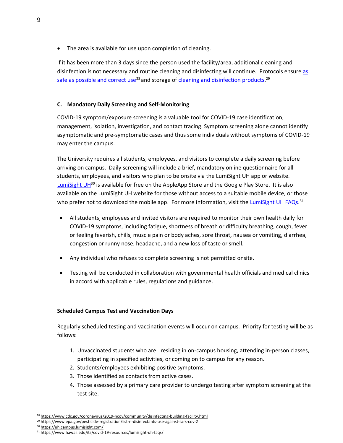The area is available for use upon completion of cleaning.

If it has been more than 3 days since the person used the facility/area, additional cleaning and disinfection is not necessary and routine cleaning and disinfecting will continue. Protocols ensure [as](https://www.cdc.gov/coronavirus/2019-ncov/community/disinfecting-building-facility.html)  [safe as possible and correct use](https://www.cdc.gov/coronavirus/2019-ncov/community/disinfecting-building-facility.html)<sup>28</sup> and storage of [cleaning](https://www.epa.gov/pesticide-registration/list-n-disinfectants-use-against-sars-cov-2) [and disinfection products.](https://www.epa.gov/pesticide-registration/list-n-disinfectants-use-against-sars-cov-2)<sup>29</sup>

## <span id="page-10-0"></span>**C. Mandatory Daily Screening and Self-Monitoring**

COVID-19 symptom/exposure screening is a valuable tool for COVID-19 case identification, management, isolation, investigation, and contact tracing. Symptom screening alone cannot identify asymptomatic and pre-symptomatic cases and thus some individuals without symptoms of COVID-19 may enter the campus.

The University requires all students, employees, and visitors to complete a daily screening before arriving on campus. Daily screening will include a brief, mandatory online questionnaire for all students, employees, and visitors who plan to be onsite via the LumiSight UH app or website. [LumiSight UH](https://uh.campus.lumisight.com/)<sup>30</sup> is available for free on the AppleApp Store and the Google Play Store. It is also available on the LumiSight UH website for those without access to a suitable mobile device, or those who prefer not to download the mobile app. For more information, visit the [LumiSight UH FAQs.](https://www.hawaii.edu/its/covid-19-resources/lumisight-uh-faqs/)<sup>31</sup>

- All students, employees and invited visitors are required to monitor their own health daily for COVID-19 symptoms, including fatigue, shortness of breath or difficulty breathing, cough, fever or feeling feverish, chills, muscle pain or body aches, sore throat, nausea or vomiting, diarrhea, congestion or runny nose, headache, and a new loss of taste or smell.
- Any individual who refuses to complete screening is not permitted onsite.
- Testing will be conducted in collaboration with governmental health officials and medical clinics in accord with applicable rules, regulations and guidance.

#### **Scheduled Campus Test and Vaccination Days**

Regularly scheduled testing and vaccination events will occur on campus. Priority for testing will be as follows:

- 1. Unvaccinated students who are: residing in on-campus housing, attending in-person classes, participating in specified activities, or coming on to campus for any reason.
- 2. Students/employees exhibiting positive symptoms.
- 3. Those identified as contacts from active cases.
- 4. Those assessed by a primary care provider to undergo testing after symptom screening at the test site.

<sup>28</sup> <https://www.cdc.gov/coronavirus/2019-ncov/community/disinfecting-building-facility.html>

<sup>&</sup>lt;sup>2</sup> <https://www.epa.gov/pesticide-registration/list-n-disinfectants-use-against-sars-cov-2>

<sup>30</sup> <https://uh.campus.lumisight.com/>

<sup>31</sup> <https://www.hawaii.edu/its/covid-19-resources/lumisight-uh-faqs/>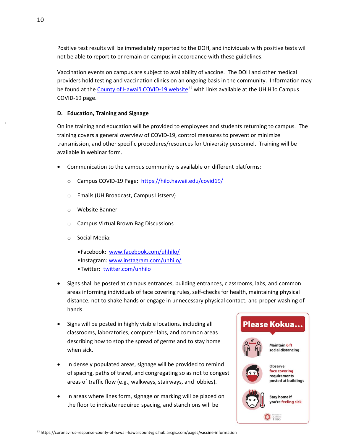Positive test results will be immediately reported to the DOH, and individuals with positive tests will not be able to report to or remain on campus in accordance with these guidelines.

Vaccination events on campus are subject to availability of vaccine. The DOH and other medical providers hold testing and vaccination clinics on an ongoing basis in the community. Information may be found at the [County of Hawai'i COVID](https://coronavirus-response-county-of-hawaii-hawaiicountygis.hub.arcgis.com/pages/vaccine-information)-19 website<sup>32</sup> with links available at the UH Hilo Campus COVID-19 page.

## <span id="page-11-0"></span>**D. Education, Training and Signage**

Online training and education will be provided to employees and students returning to campus. The training covers a general overview of COVID-19, control measures to prevent or minimize transmission, and other specific procedures/resources for University personnel. Training will be available in webinar form.

- Communication to the campus community is available on different platforms:
	- o Campus COVID-19 Page:<https://hilo.hawaii.edu/covid19/>
	- o Emails (UH Broadcast, Campus Listserv)
	- o Website Banner
	- o Campus Virtual Brown Bag Discussions
	- o Social Media:
		- Facebook: [www.facebook.com/uhhilo/](https://www.facebook.com/uhhilo/)
		- Instagram: [www.instagram.com/uhhilo/](http://www.instagram.com/uhhilo/)
		- **Twitter: [twitter.com/uhhilo](file:///G:/VCAA/Emergency%20Management/COVID/System%20COVID%20Guidelines/twitter.com/uhhilo)**
- Signs shall be posted at campus entrances, building entrances, classrooms, labs, and common areas informing individuals of face covering rules, self-checks for health, maintaining physical distance, not to shake hands or engage in unnecessary physical contact, and proper washing of hands.
- Signs will be posted in highly visible locations, including all classrooms, laboratories, computer labs, and common areas describing how to stop the spread of germs and to stay home when sick.
- In densely populated areas, signage will be provided to remind of spacing, paths of travel, and congregating so as not to congest areas of traffic flow (e.g., walkways, stairways, and lobbies).
- In areas where lines form, signage or marking will be placed on the floor to indicate required spacing, and stanchions will be



<sup>32</sup> <https://coronavirus-response-county-of-hawaii-hawaiicountygis.hub.arcgis.com/pages/vaccine-information>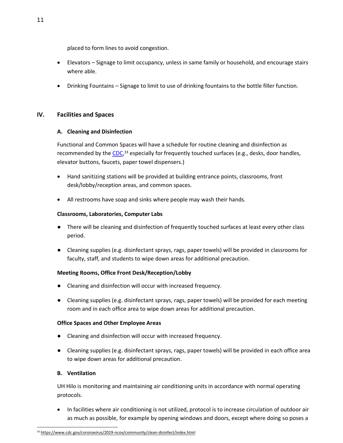placed to form lines to avoid congestion.

- Elevators Signage to limit occupancy, unless in same family or household, and encourage stairs where able.
- Drinking Fountains Signage to limit to use of drinking fountains to the bottle filler function.

## <span id="page-12-1"></span><span id="page-12-0"></span>**IV. Facilities and Spaces**

#### **A. Cleaning and Disinfection**

Functional and Common Spaces will have a schedule for routine cleaning and disinfection as recommended by the [CDC,](https://www.cdc.gov/coronavirus/2019-ncov/community/clean-disinfect/index.html)<sup>33</sup> especially for frequently touched surfaces (e.g., desks, door handles, elevator buttons, faucets, paper towel dispensers.)

- Hand sanitizing stations will be provided at building entrance points, classrooms, front desk/lobby/reception areas, and common spaces.
- All restrooms have soap and sinks where people may wash their hands.

## **Classrooms, Laboratories, Computer Labs**

- There will be cleaning and disinfection of frequently touched surfaces at least every other class period.
- Cleaning supplies (e.g. disinfectant sprays, rags, paper towels) will be provided in classrooms for faculty, staff, and students to wipe down areas for additional precaution.

#### **Meeting Rooms, Office Front Desk/Reception/Lobby**

- Cleaning and disinfection will occur with increased frequency.
- Cleaning supplies (e.g. disinfectant sprays, rags, paper towels) will be provided for each meeting room and in each office area to wipe down areas for additional precaution.

#### **Office Spaces and Other Employee Areas**

- Cleaning and disinfection will occur with increased frequency.
- Cleaning supplies (e.g. disinfectant sprays, rags, paper towels) will be provided in each office area to wipe down areas for additional precaution.

#### **B. Ventilation**

UH Hilo is monitoring and maintaining air conditioning units in accordance with normal operating protocols.

• In facilities where air conditioning is not utilized, protocol is to increase circulation of outdoor air as much as possible, for example by opening windows and doors, except where doing so poses a

<sup>33</sup> <https://www.cdc.gov/coronavirus/2019-ncov/community/clean-disinfect/index.html>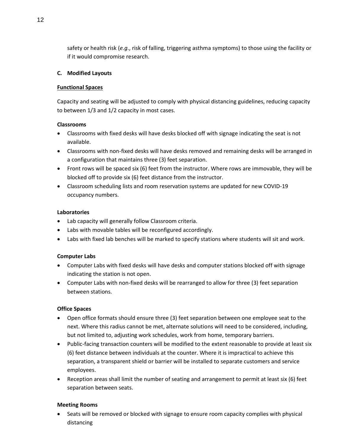safety or health risk (*e.g.*, risk of falling, triggering asthma symptoms) to those using the facility or if it would compromise research.

#### <span id="page-13-0"></span>**C. Modified Layouts**

## **Functional Spaces**

Capacity and seating will be adjusted to comply with physical distancing guidelines, reducing capacity to between 1/3 and 1/2 capacity in most cases.

## **Classrooms**

- Classrooms with fixed desks will have desks blocked off with signage indicating the seat is not available.
- Classrooms with non-fixed desks will have desks removed and remaining desks will be arranged in a configuration that maintains three (3) feet separation.
- Front rows will be spaced six (6) feet from the instructor. Where rows are immovable, they will be blocked off to provide six (6) feet distance from the instructor.
- Classroom scheduling lists and room reservation systems are updated for new COVID-19 occupancy numbers.

## **Laboratories**

- Lab capacity will generally follow Classroom criteria.
- Labs with movable tables will be reconfigured accordingly.
- Labs with fixed lab benches will be marked to specify stations where students will sit and work.

## **Computer Labs**

- Computer Labs with fixed desks will have desks and computer stations blocked off with signage indicating the station is not open.
- Computer Labs with non-fixed desks will be rearranged to allow for three (3) feet separation between stations.

## **Office Spaces**

- Open office formats should ensure three (3) feet separation between one employee seat to the next. Where this radius cannot be met, alternate solutions will need to be considered, including, but not limited to, adjusting work schedules, work from home, temporary barriers.
- Public-facing transaction counters will be modified to the extent reasonable to provide at least six (6) feet distance between individuals at the counter. Where it is impractical to achieve this separation, a transparent shield or barrier will be installed to separate customers and service employees.
- Reception areas shall limit the number of seating and arrangement to permit at least six (6) feet separation between seats.

## **Meeting Rooms**

• Seats will be removed or blocked with signage to ensure room capacity complies with physical distancing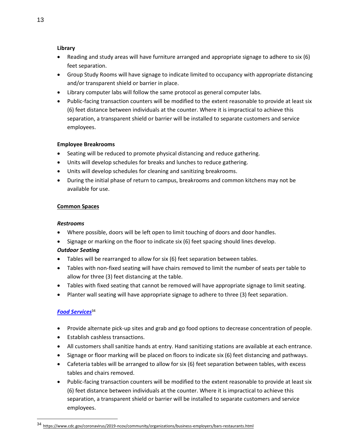## **Library**

- Reading and study areas will have furniture arranged and appropriate signage to adhere to six (6) feet separation.
- Group Study Rooms will have signage to indicate limited to occupancy with appropriate distancing and/or transparent shield or barrier in place.
- Library computer labs will follow the same protocol as general computer labs.
- Public-facing transaction counters will be modified to the extent reasonable to provide at least six (6) feet distance between individuals at the counter. Where it is impractical to achieve this separation, a transparent shield or barrier will be installed to separate customers and service employees.

## **Employee Breakrooms**

- Seating will be reduced to promote physical distancing and reduce gathering.
- Units will develop schedules for breaks and lunches to reduce gathering.
- Units will develop schedules for cleaning and sanitizing breakrooms.
- During the initial phase of return to campus, breakrooms and common kitchens may not be available for use.

## **Common Spaces**

#### *Restrooms*

- Where possible, doors will be left open to limit touching of doors and door handles.
- Signage or marking on the floor to indicate six (6) feet spacing should lines develop.

## *Outdoor Seating*

- Tables will be rearranged to allow for six (6) feet separation between tables.
- Tables with non-fixed seating will have chairs removed to limit the number of seats per table to allow for three (3) feet distancing at the table.
- Tables with fixed seating that cannot be removed will have appropriate signage to limit seating.
- Planter wall seating will have appropriate signage to adhere to three (3) feet separation.

## *[Food Services](https://www.cdc.gov/coronavirus/2019-ncov/community/organizations/business-employers/bars-restaurants.html)*<sup>34</sup>

- Provide alternate pick-up sites and grab and go food options to decrease concentration of people.
- Establish cashless transactions.
- All customers shall sanitize hands at entry. Hand sanitizing stations are available at each entrance.
- Signage or floor marking will be placed on floors to indicate six (6) feet distancing and pathways.
- Cafeteria tables will be arranged to allow for six (6) feet separation between tables, with excess tables and chairs removed.
- Public-facing transaction counters will be modified to the extent reasonable to provide at least six (6) feet distance between individuals at the counter. Where it is impractical to achieve this separation, a transparent shield or barrier will be installed to separate customers and service employees.

<sup>34</sup> <https://www.cdc.gov/coronavirus/2019-ncov/community/organizations/business-employers/bars-restaurants.html>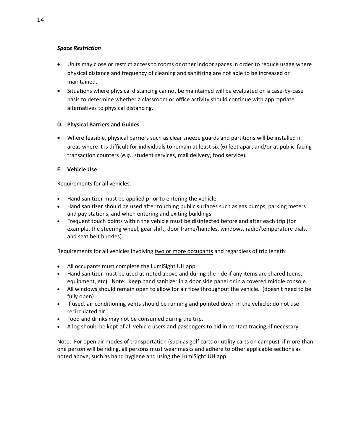## *Space Restriction*

- Units may close or restrict access to rooms or other indoor spaces in order to reduce usage where physical distance and frequency of cleaning and sanitizing are not able to be increased or maintained.
- Situations where physical distancing cannot be maintained will be evaluated on a case-by-case basis to determine whether a classroom or office activity should continue with appropriate alternatives to physical distancing.

## <span id="page-15-0"></span>**D. Physical Barriers and Guides**

• Where feasible, physical barriers such as clear sneeze guards and partitions will be installed in areas where it is difficult for individuals to remain at least six (6) feet apart and/or at public-facing transaction counters (*e.g.*, student services, mail delivery, food service).

## **E. Vehicle Use**

Requirements for all vehicles:

- Hand sanitizer must be applied prior to entering the vehicle.
- Hand sanitizer should be used after touching public surfaces such as gas pumps, parking meters and pay stations, and when entering and exiting buildings.
- Frequent touch points within the vehicle must be disinfected before and after each trip (for example, the steering wheel, gear shift, door frame/handles, windows, radio/temperature dials, and seat belt buckles).

Requirements for all vehicles involving two or more occupants and regardless of trip length:

- All occupants must complete the LumiSight UH app
- Hand sanitizer must be used as noted above and during the ride if any items are shared (pens, equipment, etc). Note: Keep hand sanitizer in a door side panel or in a covered middle console.
- All windows should remain open to allow for air flow throughout the vehicle. (doesn't need to be fully open)
- If used, air conditioning vents should be running and pointed down in the vehicle; do not use recirculated air.
- Food and drinks may not be consumed during the trip.
- A log should be kept of all vehicle users and passengers to aid in contact tracing, if necessary.

Note: For open air modes of transportation (such as golf carts or utility carts on campus), if more than one person will be riding, all persons must wear masks and adhere to other applicable sections as noted above, such as hand hygiene and using the LumiSight UH app.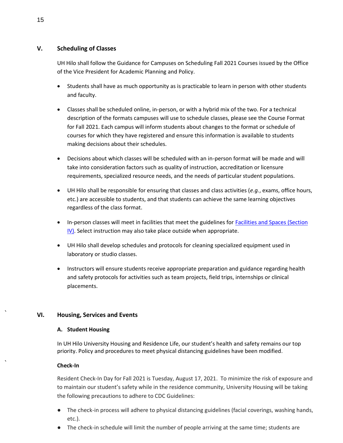## <span id="page-16-1"></span>**V. Scheduling of Classes**

UH Hilo shall follow the Guidance for Campuses on Scheduling Fall 2021 Courses issued by the Office of the Vice President for Academic Planning and Policy.

- Students shall have as much opportunity as is practicable to learn in person with other students and faculty.
- Classes shall be scheduled online, in-person, or with a hybrid mix of the two. For a technical description of the formats campuses will use to schedule classes, please see the Course Format for Fall 2021. Each campus will inform students about changes to the format or schedule of courses for which they have registered and ensure this information is available to students making decisions about their schedules.
- Decisions about which classes will be scheduled with an in-person format will be made and will take into consideration factors such as quality of instruction, accreditation or licensure requirements, specialized resource needs, and the needs of particular student populations.
- UH Hilo shall be responsible for ensuring that classes and class activities (*e.g.*, exams, office hours, etc.) are accessible to students, and that students can achieve the same learning objectives regardless of the class format.
- In-person classes will meet in facilities that meet the guidelines for [Facilities and Spaces \(Section](#page-12-0)  [IV\)](#page-12-0). Select instruction may also take place outside when appropriate.
- UH Hilo shall develop schedules and protocols for cleaning specialized equipment used in laboratory or studio classes.
- Instructors will ensure students receive appropriate preparation and guidance regarding health and safety protocols for activities such as team projects, field trips, internships or clinical placements.

# <span id="page-16-2"></span><span id="page-16-0"></span>**VI. Housing, Services and Events**

## **A. Student Housing**

In UH Hilo University Housing and Residence Life, our student's health and safety remains our top priority. Policy and procedures to meet physical distancing guidelines have been modified.

## **Check-In**

Resident Check-In Day for Fall 2021 is Tuesday, August 17, 2021. To minimize the risk of exposure and to maintain our student's safety while in the residence community, University Housing will be taking the following precautions to adhere to CDC Guidelines:

- The check-in process will adhere to physical distancing guidelines (facial coverings, washing hands, etc.).
- The check-in schedule will limit the number of people arriving at the same time; students are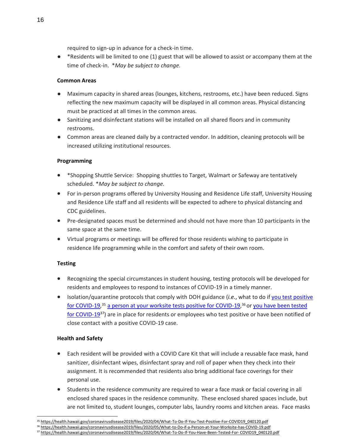required to sign-up in advance for a check-in time.

● \*Residents will be limited to one (1) guest that will be allowed to assist or accompany them at the time of check-in. \**May be subject to change.*

## **Common Areas**

- Maximum capacity in shared areas (lounges, kitchens, restrooms, etc.) have been reduced. Signs reflecting the new maximum capacity will be displayed in all common areas. Physical distancing must be practiced at all times in the common areas.
- Sanitizing and disinfectant stations will be installed on all shared floors and in community restrooms.
- Common areas are cleaned daily by a contracted vendor. In addition, cleaning protocols will be increased utilizing institutional resources.

## **Programming**

- \*Shopping Shuttle Service: Shopping shuttles to Target, Walmart or Safeway are tentatively scheduled. \**May be subject to change.*
- For in-person programs offered by University Housing and Residence Life staff, University Housing and Residence Life staff and all residents will be expected to adhere to physical distancing and CDC guidelines.
- Pre-designated spaces must be determined and should not have more than 10 participants in the same space at the same time.
- Virtual programs or meetings will be offered for those residents wishing to participate in residence life programming while in the comfort and safety of their own room.

## **Testing**

- Recognizing the special circumstances in student housing, testing protocols will be developed for residents and employees to respond to instances of COVID-19 in a timely manner.
- Isolation/quarantine protocols that comply with DOH guidance (*i.e.*, what to do if [you test positive](https://health.hawaii.gov/coronavirusdisease2019/files/2020/04/What-To-Do-If-You-Test-Positive-For-COVID19_040120.pdf)  [for COVID-19,](https://health.hawaii.gov/coronavirusdisease2019/files/2020/04/What-To-Do-If-You-Test-Positive-For-COVID19_040120.pdf)<sup>35</sup> [a person at your worksite tests positive for COVID-19,](https://health.hawaii.gov/coronavirusdisease2019/files/2020/05/What-to-Do-if-a-Person-at-Your-Worksite-has-COVID-19.pdf)<sup>36</sup> or [you have](https://health.hawaii.gov/coronavirusdisease2019/files/2020/04/What-To-Do-If-You-Have-Been-Tested-For-COVID19_040120.pdf) been tested [for COVID-19](https://health.hawaii.gov/coronavirusdisease2019/files/2020/04/What-To-Do-If-You-Have-Been-Tested-For-COVID19_040120.pdf)<sup>37</sup>) are in place for residents or employees who test positive or have been notified of close contact with a positive COVID-19 case.

## **Health and Safety**

- Each resident will be provided with a COVID Care Kit that will include a reusable face mask, hand sanitizer, disinfectant wipes, disinfectant spray and roll of paper when they check into their assignment. It is recommended that residents also bring additional face coverings for their personal use.
- Students in the residence community are required to wear a face mask or facial covering in all enclosed shared spaces in the residence community. These enclosed shared spaces include, but are not limited to, student lounges, computer labs, laundry rooms and kitchen areas. Face masks

<sup>&</sup>lt;sup>35</sup> [https://health.hawaii.gov/coronavirusdisease2019/files/2020/04/What-To-Do-If-You-Test-Positive-For-COVID19\\_040120.pdf](https://health.hawaii.gov/coronavirusdisease2019/files/2020/04/What-To-Do-If-You-Test-Positive-For-COVID19_040120.pdf)

<sup>36</sup> <https://health.hawaii.gov/coronavirusdisease2019/files/2020/05/What-to-Do-if-a-Person-at-Your-Worksite-has-COVID-19.pdf>

<sup>37</sup> [https://health.hawaii.gov/coronavirusdisease2019/files/2020/04/What-To-Do-If-You-Have-Been-Tested-For-](https://health.hawaii.gov/coronavirusdisease2019/files/2020/04/What-To-Do-If-You-Have-Been-Tested-For-COVID19_040120.pdf) [COVID19\\_040120.pdf](https://health.hawaii.gov/coronavirusdisease2019/files/2020/04/What-To-Do-If-You-Have-Been-Tested-For-COVID19_040120.pdf)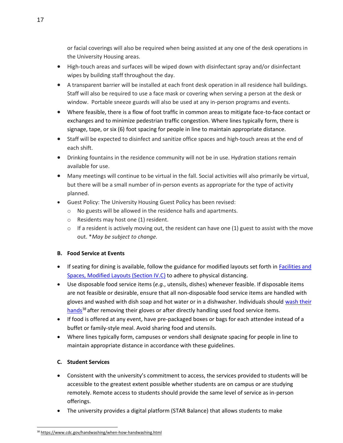or facial coverings will also be required when being assisted at any one of the desk operations in the University Housing areas.

- High-touch areas and surfaces will be wiped down with disinfectant spray and/or disinfectant wipes by building staff throughout the day.
- A transparent barrier will be installed at each front desk operation in all residence hall buildings. Staff will also be required to use a face mask or covering when serving a person at the desk or window. Portable sneeze guards will also be used at any in-person programs and events.
- Where feasible, there is a flow of foot traffic in common areas to mitigate face-to-face contact or exchanges and to minimize pedestrian traffic congestion. Where lines typically form, there is signage, tape, or six (6) foot spacing for people in line to maintain appropriate distance.
- Staff will be expected to disinfect and sanitize office spaces and high-touch areas at the end of each shift.
- Drinking fountains in the residence community will not be in use. Hydration stations remain available for use.
- Many meetings will continue to be virtual in the fall. Social activities will also primarily be virtual, but there will be a small number of in-person events as appropriate for the type of activity planned.
- Guest Policy: The University Housing Guest Policy has been revised:
	- o No guests will be allowed in the residence halls and apartments.
	- o Residents may host one (1) resident.
	- $\circ$  If a resident is actively moving out, the resident can have one (1) guest to assist with the move out. \**May be subject to change.*

# <span id="page-18-0"></span>**B. Food Service at Events**

- If seating for dining is available, follow the guidance for modified layouts set forth in **Facilities and** [Spaces, Modified Layouts \(Section IV.C\)](#page-13-0) to adhere to physical distancing.
- Use disposable food service items (*e.g.*, utensils, dishes) whenever feasible. If disposable items are not feasible or desirable, ensure that all non-disposable food service items are handled with gloves and washed with dish soap and hot water or in a dishwasher. Individuals should wash their  $h$ ands<sup>38</sup> after removing their gloves or after directly handling used food service items.
- If food is offered at any event, have pre-packaged boxes or bags for each attendee instead of a buffet or family-style meal. Avoid sharing food and utensils.
- Where lines typically form, campuses or vendors shall designate spacing for people in line to maintain appropriate distance in accordance with these guidelines.

# <span id="page-18-1"></span>**C. Student Services**

- Consistent with the university's commitment to access, the services provided to students will be accessible to the greatest extent possible whether students are on campus or are studying remotely. Remote access to students should provide the same level of service as in-person offerings.
- The university provides a digital platform (STAR Balance) that allows students to make

<sup>38</sup> <https://www.cdc.gov/handwashing/when-how-handwashing.html>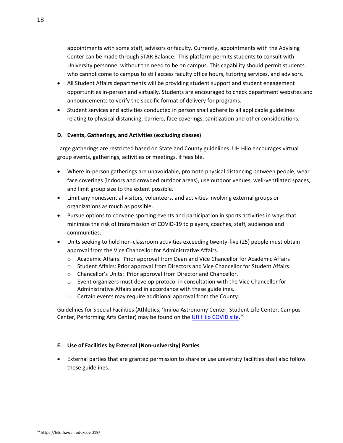appointments with some staff, advisors or faculty. Currently, appointments with the Advising Center can be made through STAR Balance. This platform permits students to consult with University personnel without the need to be on campus. This capability should permit students who cannot come to campus to still access faculty office hours, tutoring services, and advisors.

- All Student Affairs departments will be providing student support and student engagement opportunities in-person and virtually. Students are encouraged to check department websites and announcements to verify the specific format of delivery for programs.
- Student services and activities conducted in person shall adhere to all applicable guidelines relating to physical distancing, barriers, face coverings, sanitization and other considerations.

## <span id="page-19-0"></span>**D. Events, Gatherings, and Activities (excluding classes)**

Large gatherings are restricted based on State and County guidelines. UH Hilo encourages virtual group events, gatherings, activities or meetings, if feasible.

- Where in-person gatherings are unavoidable, promote physical distancing between people, wear face coverings (indoors and crowded outdoor areas), use outdoor venues, well-ventilated spaces, and limit group size to the extent possible.
- Limit any nonessential visitors, volunteers, and activities involving external groups or organizations as much as possible.
- Pursue options to convene sporting events and participation in sports activities in ways that minimize the risk of transmission of COVID-19 to players, coaches, staff, audiences and communities.
- Units seeking to hold non-classroom activities exceeding twenty-five (25) people must obtain approval from the Vice Chancellor for Administrative Affairs.
	- o Academic Affairs: Prior approval from Dean and Vice Chancellor for Academic Affairs
	- o Student Affairs: Prior approval from Directors and Vice Chancellor for Student Affairs.
	- o Chancellor's Units: Prior approval from Director and Chancellor.
	- $\circ$  Event organizers must develop protocol in consultation with the Vice Chancellor for Administrative Affairs and in accordance with these guidelines.
	- o Certain events may require additional approval from the County.

Guidelines for Special Facilities (Athletics, 'Imiloa Astronomy Center, Student Life Center, Campus Center, Performing Arts Center) may be found on the *UH Hilo COVID site*.<sup>39</sup>

#### <span id="page-19-1"></span>**E. Use of Facilities by External (Non-university) Parties**

• External parties that are granted permission to share or use university facilities shall also follow these guidelines.

<sup>39</sup> <https://hilo.hawaii.edu/covid19/>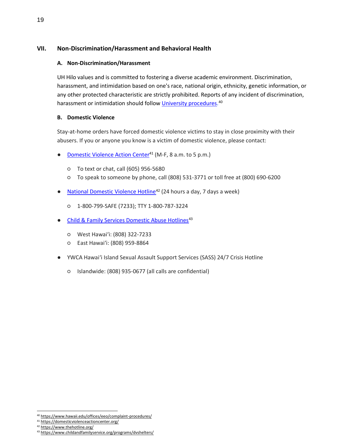## <span id="page-20-1"></span><span id="page-20-0"></span>**VII. Non-Discrimination/Harassment and Behavioral Health**

## **A. Non-Discrimination/Harassment**

UH Hilo values and is committed to fostering a diverse academic environment. Discrimination, harassment, and intimidation based on one's race, national origin, ethnicity, genetic information, or any other protected characteristic are strictly prohibited. Reports of any incident of discrimination, harassment or intimidation should follo[w](https://www.hawaii.edu/offices/eeo/complaint-procedures/) **University procedures**.<sup>40</sup>

## <span id="page-20-2"></span>**B. Domestic Violence**

Stay-at-home orders have forced domestic violence victims to stay in close proximity with their abusers. If you or anyone you know is a victim of domestic violence, please contact:

- [Domestic Violence Action Center](https://domesticviolenceactioncenter.org/)<sup>41</sup> (M-F, 8 a.m. to 5 p.m.)
	- To text or chat, call (605) 956-5680
	- To speak to someone by phone, call (808) 531-3771 or toll free at (800) 690-6200
- [National Domestic Violence Hotline](https://www.thehotline.org/)<sup>42</sup> (24 hours a day, 7 days a week)
	- 1-800-799-SAFE (7233); TTY 1-800-787-3224
- Child & Family Services Domestic Abuse Hotlines<sup>43</sup>
	- West Hawaiʻi: (808) 322-7233
	- East Hawaiʻi: (808) 959-8864
- YWCA Hawai'i Island Sexual Assault Support Services (SASS) 24/7 Crisis Hotline
	- Islandwide: (808) 935-0677 (all calls are confidential)

<sup>40</sup> <https://www.hawaii.edu/offices/eeo/complaint-procedures/>

<sup>41</sup> https://domesticviolenceactioncenter.org/

<sup>42</sup> https:/[/www.thehotline.org/](http://www.thehotline.org/)

<sup>43</sup> https:/[/www.childandfamilyservice.org/programs/dvshelters/](http://www.childandfamilyservice.org/programs/dvshelters/)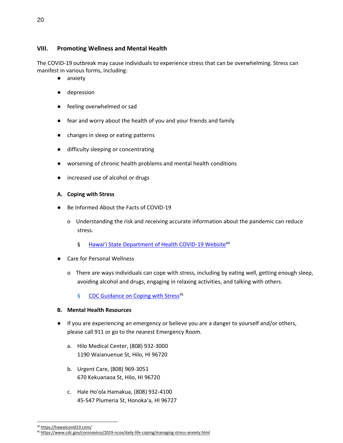## <span id="page-21-0"></span>**VIII. Promoting Wellness and Mental Health**

The COVID-19 outbreak may cause individuals to experience stress that can be overwhelming. Stress can manifest in various forms, including:

- anxiety
- depression
- feeling overwhelmed or sad
- fear and worry about the health of you and your friends and family
- changes in sleep or eating patterns
- difficulty sleeping or concentrating
- worsening of chronic health problems and mental health conditions
- increased use of alcohol or drugs

#### <span id="page-21-1"></span>**A. Coping with Stress**

- Be Informed About the Facts of COVID-19
	- o Understanding the risk and receiving accurate information about the pandemic can reduce stress.
		- § [Hawai'i State Department of Health COVID](https://hawaiicovid19.com/)-19 Website<sup>44</sup>
- **Care for Personal Wellness** 
	- o There are ways individuals can cope with stress, including by eating well, getting enough sleep, avoiding alcohol and drugs, engaging in relaxing activities, and talking with others.
		- § [CDC Guidance on Coping with Stress](https://www.cdc.gov/coronavirus/2019-ncov/daily-life-coping/managing-stress-anxiety.html)<sup>45</sup>

#### <span id="page-21-2"></span>**B. Mental Health Resources**

- If you are experiencing an emergency or believe you are a danger to yourself and/or others, please call 911 or go to the nearest Emergency Room.
	- a. Hilo Medical Center, (808) 932-3000 1190 Waianuenue St, Hilo, HI 96720
	- b. Urgent Care, (808) 969-3051 670 Kekuanaoa St, Hilo, HI 96720
	- c. Hale Ho'ola Hamakua, (808) 932-4100 45-547 Plumeria St, Honoka'a, HI 96727

<sup>44</sup> <https://hawaiicovid19.com/>

<sup>45</sup> <https://www.cdc.gov/coronavirus/2019-ncov/daily-life-coping/managing-stress-anxiety.html>